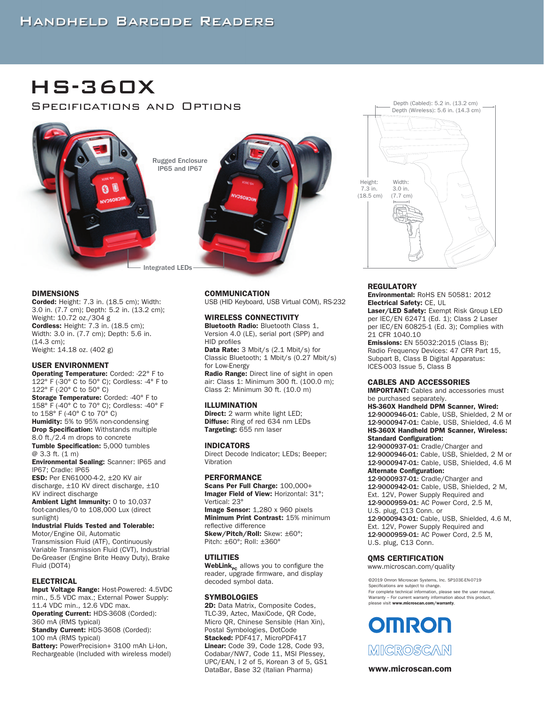HS-360X

Specifications and Options



#### DIMENSIONS

Corded: Height: 7.3 in. (18.5 cm); Width: 3.0 in. (7.7 cm); Depth: 5.2 in. (13.2 cm); Weight: 10.72 oz./304 g Cordless: Height: 7.3 in. (18.5 cm); Width: 3.0 in. (7.7 cm); Depth: 5.6 in. (14.3 cm); Weight: 14.18 oz. (402 g)

#### USER ENVIRONMENT

Operating Temperature: Corded: -22° F to 122° F (-30° C to 50° C); Cordless: -4° F to 122° F (-20° C to 50° C) Storage Temperature: Corded: -40° F to 158° F (-40° C to 70° C); Cordless: -40° F to 158° F (-40° C to 70° C) Humidity: 5% to 95% non-condensing **Drop Specification:** Withstands multiple 8.0 ft./2.4 m drops to concrete Tumble Specification: 5,000 tumbles @ 3.3 ft. (1 m) Environmental Sealing: Scanner: IP65 and IP67; Cradle: IP65

ESD: Per EN61000-4-2, ±20 KV air discharge, ±10 KV direct discharge, ±10 KV indirect discharge

Ambient Light Immunity: 0 to 10,037 foot-candles/0 to 108,000 Lux (direct sunlight)

Industrial Fluids Tested and Tolerable: Motor/Engine Oil, Automatic Transmission Fluid (ATF), Continuously Variable Transmission Fluid (CVT), Industrial De-Greaser (Engine Brite Heavy Duty), Brake Fluid (DOT4)

#### ELECTRICAL

Input Voltage Range: Host-Powered: 4.5VDC min., 5.5 VDC max.; External Power Supply: 11.4 VDC min., 12.6 VDC max. Operating Current: HDS-3608 (Corded): 360 mA (RMS typical) Standby Current: HDS-3608 (Corded): 100 mA (RMS typical) Battery: PowerPrecision+ 3100 mAh Li-Ion, Rechargeable (Included with wireless model)

#### **COMMUNICATION**

USB (HID Keyboard, USB Virtual COM), RS-232

#### WIRELESS CONNECTIVITY

**Bluetooth Radio: Bluetooth Class 1,** Version 4.0 (LE), serial port (SPP) and HID profiles

Data Rate: 3 Mbit/s (2.1 Mbit/s) for Classic Bluetooth; 1 Mbit/s (0.27 Mbit/s) for Low-Energy

Radio Range: Direct line of sight in open air: Class 1: Minimum 300 ft. (100.0 m); Class 2: Minimum 30 ft. (10.0 m)

#### ILLUMINATION

Direct: 2 warm white light LED: Diffuse: Ring of red 634 nm LEDs Targeting: 655 nm laser

#### INDICATORS

Direct Decode Indicator; LEDs; Beeper; Vibration

#### **PERFORMANCE**

Scans Per Full Charge: 100,000+ Imager Field of View: Horizontal: 31°; Vertical: 23° Image Sensor: 1,280 x 960 pixels Minimum Print Contrast: 15% minimum reflective difference Skew/Pitch/Roll: Skew: ±60°;

Pitch: ±60°; Roll: ±360°

#### UTILITIES

WebLink<sub>Pc</sub> allows you to configure the reader, upgrade firmware, and display decoded symbol data.

#### **SYMBOLOGIES**

2D: Data Matrix, Composite Codes, TLC-39, Aztec, MaxiCode, QR Code, Micro QR, Chinese Sensible (Han Xin), Postal Symbologies, DotCode Stacked: PDF417, MicroPDF417 Linear: Code 39, Code 128, Code 93, Codabar/NW7, Code 11, MSI Plessey, UPC/EAN, I 2 of 5, Korean 3 of 5, GS1 DataBar, Base 32 (Italian Pharma) **www.microscan.com** 



#### **REGULATORY**

Environmental: RoHS EN 50581: 2012 Electrical Safety: CE, UL

Laser/LED Safety: Exempt Risk Group LED per IEC/EN 62471 (Ed. 1); Class 2 Laser per IEC/EN 60825-1 (Ed. 3); Complies with 21 CFR 1040.10

**Emissions:** EN 55032:2015 (Class B); Radio Frequency Devices: 47 CFR Part 15, Subpart B, Class B Digital Apparatus: ICES-003 Issue 5, Class B

#### CABLES AND ACCESSORIES

IMPORTANT: Cables and accessories must be purchased separately.

HS-360X Handheld DPM Scanner, Wired: 12-9000946-01: Cable, USB, Shielded, 2 M or 12-9000947-01: Cable, USB, Shielded, 4.6 M HS-360X Handheld DPM Scanner, Wireless: Standard Configuration: 12-9000937-01: Cradle/Charger and 12-9000946-01: Cable, USB, Shielded, 2 M or 12-9000947-01: Cable, USB, Shielded, 4.6 M Alternate Configuration: 12-9000937-01: Cradle/Charger and 12-9000942-01: Cable, USB, Shielded, 2 M, Ext. 12V, Power Supply Required and 12-9000959-01: AC Power Cord, 2.5 M, U.S. plug, C13 Conn. or 12-9000943-01: Cable, USB, Shielded, 4.6 M, Ext. 12V, Power Supply Required and 12-9000959-01: AC Power Cord, 2.5 M,

U.S. plug, C13 Conn.

#### QMS CERTIFICATION

www.microscan.com/quality

©2019 Omron Microscan Systems, Inc. SP103E-EN-0719 Specifications are subject to change. For complete technical information, please see the user manual. Warranty – For current warranty information about this product, please visit www.microscan.com/warranty.

# **OMRON**

MICROSCAN